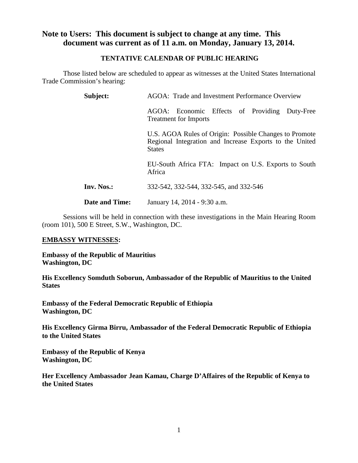## **Note to Users: This document is subject to change at any time. This document was current as of 11 a.m. on Monday, January 13, 2014.**

#### **TENTATIVE CALENDAR OF PUBLIC HEARING**

Those listed below are scheduled to appear as witnesses at the United States International Trade Commission's hearing:

| Subject:              | AGOA: Trade and Investment Performance Overview                                                                                    |  |  |
|-----------------------|------------------------------------------------------------------------------------------------------------------------------------|--|--|
|                       | AGOA: Economic Effects of Providing Duty-Free<br><b>Treatment for Imports</b>                                                      |  |  |
|                       | U.S. AGOA Rules of Origin: Possible Changes to Promote<br>Regional Integration and Increase Exports to the United<br><b>States</b> |  |  |
|                       | EU-South Africa FTA: Impact on U.S. Exports to South<br>Africa                                                                     |  |  |
| Inv. Nos.:            | 332-542, 332-544, 332-545, and 332-546                                                                                             |  |  |
| <b>Date and Time:</b> | January 14, 2014 - 9:30 a.m.                                                                                                       |  |  |

Sessions will be held in connection with these investigations in the Main Hearing Room (room 101), 500 E Street, S.W., Washington, DC.

#### **EMBASSY WITNESSES:**

**Embassy of the Republic of Mauritius Washington, DC**

**His Excellency Somduth Soborun, Ambassador of the Republic of Mauritius to the United States** 

**Embassy of the Federal Democratic Republic of Ethiopia Washington, DC**

**His Excellency Girma Birru, Ambassador of the Federal Democratic Republic of Ethiopia to the United States**

**Embassy of the Republic of Kenya Washington, DC**

**Her Excellency Ambassador Jean Kamau, Charge D'Affaires of the Republic of Kenya to the United States**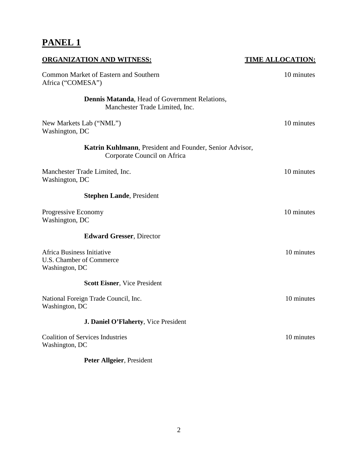# **PANEL 1**

| <b>ORGANIZATION AND WITNESS:</b>                                                       | <b>TIME ALLOCATION:</b> |
|----------------------------------------------------------------------------------------|-------------------------|
| Common Market of Eastern and Southern<br>Africa ("COMESA")                             | 10 minutes              |
| <b>Dennis Matanda, Head of Government Relations,</b><br>Manchester Trade Limited, Inc. |                         |
| New Markets Lab ("NML")<br>Washington, DC                                              | 10 minutes              |
| Katrin Kuhlmann, President and Founder, Senior Advisor,<br>Corporate Council on Africa |                         |
| Manchester Trade Limited, Inc.<br>Washington, DC                                       | 10 minutes              |
| <b>Stephen Lande, President</b>                                                        |                         |
| Progressive Economy<br>Washington, DC                                                  | 10 minutes              |
| <b>Edward Gresser, Director</b>                                                        |                         |
| Africa Business Initiative<br>U.S. Chamber of Commerce<br>Washington, DC               | 10 minutes              |
| <b>Scott Eisner, Vice President</b>                                                    |                         |
| National Foreign Trade Council, Inc.<br>Washington, DC                                 | 10 minutes              |
| J. Daniel O'Flaherty, Vice President                                                   |                         |
| <b>Coalition of Services Industries</b><br>Washington, DC                              | 10 minutes              |
| Peter Allgeier, President                                                              |                         |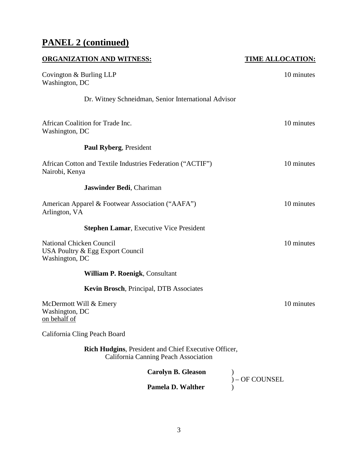# **PANEL 2 (continued)**

| <b>ORGANIZATION AND WITNESS:</b>                                                                    | <b>TIME ALLOCATION:</b> |
|-----------------------------------------------------------------------------------------------------|-------------------------|
| Covington & Burling LLP<br>Washington, DC                                                           | 10 minutes              |
| Dr. Witney Schneidman, Senior International Advisor                                                 |                         |
| African Coalition for Trade Inc.<br>Washington, DC                                                  | 10 minutes              |
| <b>Paul Ryberg, President</b>                                                                       |                         |
| African Cotton and Textile Industries Federation ("ACTIF")<br>Nairobi, Kenya                        | 10 minutes              |
| Jaswinder Bedi, Chariman                                                                            |                         |
| American Apparel & Footwear Association ("AAFA")<br>Arlington, VA                                   | 10 minutes              |
| <b>Stephen Lamar, Executive Vice President</b>                                                      |                         |
| National Chicken Council<br>USA Poultry & Egg Export Council<br>Washington, DC                      | 10 minutes              |
| William P. Roenigk, Consultant                                                                      |                         |
| Kevin Brosch, Principal, DTB Associates                                                             |                         |
| McDermott Will & Emery<br>Washington, DC<br>on behalf of                                            | 10 minutes              |
| California Cling Peach Board                                                                        |                         |
| <b>Rich Hudgins, President and Chief Executive Officer,</b><br>California Canning Peach Association |                         |
| <b>Carolyn B. Gleason</b>                                                                           |                         |
| Pamela D. Walther                                                                                   | OF COUNSEL              |